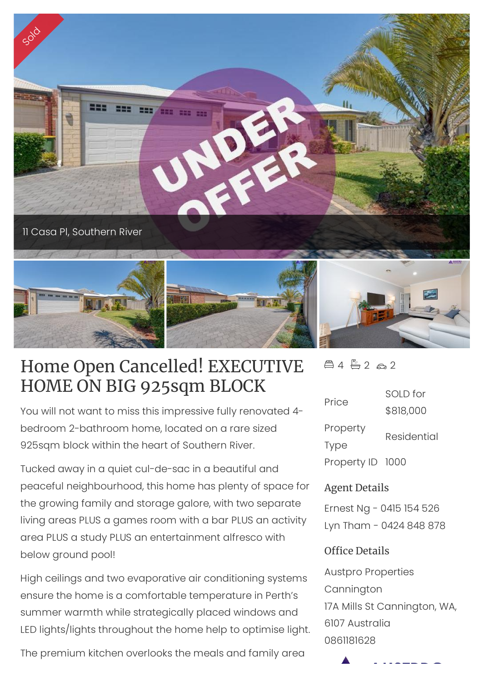

## Home Open Cancelled! EXECUTIVE HOME ON BIG 925sqm BLOCK

You will not want to miss this impressive fully renovated 4 bedroom 2-bathroom home, located on a rare sized 925sqm block within the heart of Southern River.

Tucked away in a quiet cul-de-sac in a beautiful and peaceful neighbourhood, this home has plenty of space for the growing family and storage galore, with two separate living areas PLUS a games room with a bar PLUS an activity area PLUS a study PLUS an entertainment alfresco with below ground pool!

High ceilings and two evaporative air conditioning systems ensure the home is a comfortable temperature in Perth's summer warmth while strategically placed windows and LED lights/lights throughout the home help to optimise light.

The premium kitchen overlooks the meals and family area

 $44720$ 

| Price            | SOLD for    |
|------------------|-------------|
|                  | \$818,000   |
| Property         | Residential |
| <b>Type</b>      |             |
| Property ID 1000 |             |

## Agent Details

Ernest Ng - 0415 154 526 Lyn Tham - 0424 848 878

## Office Details

Austpro Properties **Cannington** 17A Mills St Cannington, WA, 6107 Australia 0861181628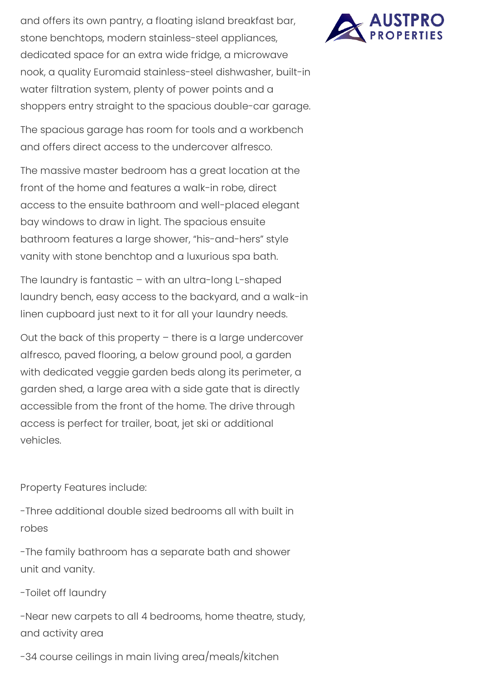and offers its own pantry, a floating island breakfast bar, stone benchtops, modern stainless-steel appliances, dedicated space for an extra wide fridge, a microwave nook, a quality Euromaid stainless-steel dishwasher, built-in water filtration system, plenty of power points and a shoppers entry straight to the spacious double-car garage.

The spacious garage has room for tools and a workbench and offers direct access to the undercover alfresco.

The massive master bedroom has a great location at the front of the home and features a walk-in robe, direct access to the ensuite bathroom and well-placed elegant bay windows to draw in light. The spacious ensuite bathroom features a large shower, "his-and-hers" style vanity with stone benchtop and a luxurious spa bath.

The laundry is fantastic – with an ultra-long L-shaped laundry bench, easy access to the backyard, and a walk-in linen cupboard just next to it for all your laundry needs.

Out the back of this property – there is a large undercover alfresco, paved flooring, a below ground pool, a garden with dedicated veggie garden beds along its perimeter, a garden shed, a large area with a side gate that is directly accessible from the front of the home. The drive through access is perfect for trailer, boat, jet ski or additional vehicles.

Property Features include:

-Three additional double sized bedrooms all with built in robes

-The family bathroom has a separate bath and shower unit and vanity.

-Toilet off laundry

-Near new carpets to all 4 bedrooms, home theatre, study, and activity area

-34 course ceilings in main living area/meals/kitchen

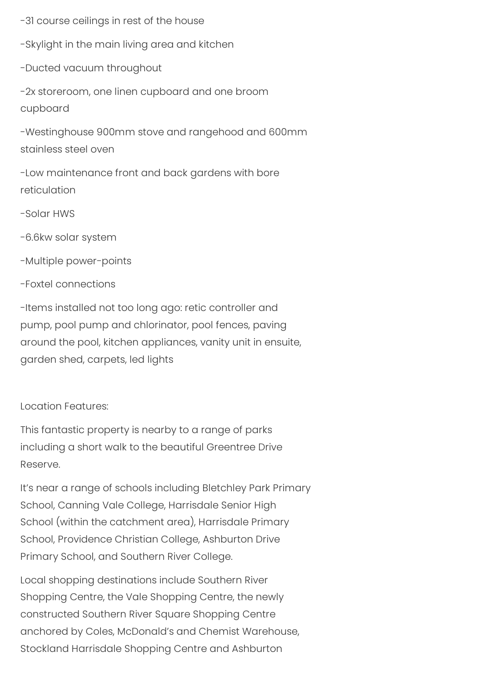-31 course ceilings in rest of the house

-Skylight in the main living area and kitchen

-Ducted vacuum throughout

-2x storeroom, one linen cupboard and one broom cupboard

-Westinghouse 900mm stove and rangehood and 600mm stainless steel oven

-Low maintenance front and back gardens with bore reticulation

-Solar HWS

-6.6kw solar system

-Multiple power-points

-Foxtel connections

-Items installed not too long ago: retic controller and pump, pool pump and chlorinator, pool fences, paving around the pool, kitchen appliances, vanity unit in ensuite, garden shed, carpets, led lights

Location Features:

This fantastic property is nearby to a range of parks including a short walk to the beautiful Greentree Drive Reserve.

It's near a range of schools including Bletchley Park Primary School, Canning Vale College, Harrisdale Senior High School (within the catchment area), Harrisdale Primary School, Providence Christian College, Ashburton Drive Primary School, and Southern River College.

Local shopping destinations include Southern River Shopping Centre, the Vale Shopping Centre, the newly constructed Southern River Square Shopping Centre anchored by Coles, McDonald's and Chemist Warehouse, Stockland Harrisdale Shopping Centre and Ashburton